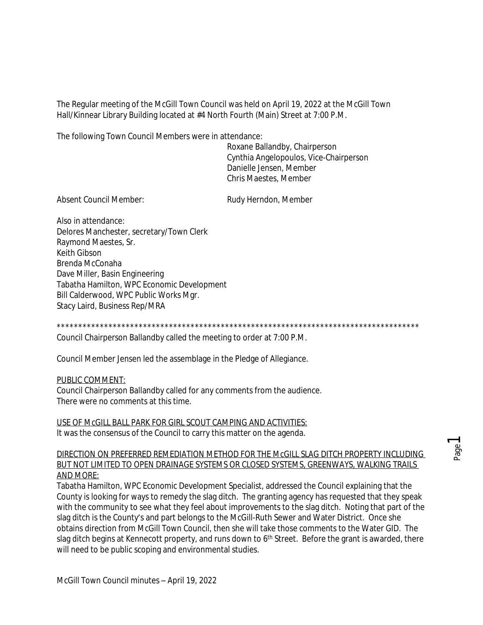The Regular meeting of the McGill Town Council was held on April 19, 2022 at the McGill Town Hall/Kinnear Library Building located at #4 North Fourth (Main) Street at 7:00 P.M.

The following Town Council Members were in attendance:

Roxane Ballandby, Chairperson Cynthia Angelopoulos, Vice-Chairperson Danielle Jensen, Member Chris Maestes, Member

Absent Council Member: Rudy Herndon, Member

Also in attendance: Delores Manchester, secretary/Town Clerk Raymond Maestes, Sr. Keith Gibson Brenda McConaha Dave Miller, Basin Engineering Tabatha Hamilton, WPC Economic Development Bill Calderwood, WPC Public Works Mgr. Stacy Laird, Business Rep/MRA

\*\*\*\*\*\*\*\*\*\*\*\*\*\*\*\*\*\*\*\*\*\*\*\*\*\*\*\*\*\*\*\*\*\*\*\*\*\*\*\*\*\*\*\*\*\*\*\*\*\*\*\*\*\*\*\*\*\*\*\*\*\*\*\*\*\*\*\*\*\*\*\*\*\*\*\*\*\*\*\*\*\*\*\* Council Chairperson Ballandby called the meeting to order at 7:00 P.M.

Council Member Jensen led the assemblage in the Pledge of Allegiance.

PUBLIC COMMENT:

Council Chairperson Ballandby called for any comments from the audience. There were no comments at this time.

USE OF McGILL BALL PARK FOR GIRL SCOUT CAMPING AND ACTIVITIES: It was the consensus of the Council to carry this matter on the agenda.

### DIRECTION ON PREFERRED REMEDIATION METHOD FOR THE McGILL SLAG DITCH PROPERTY INCLUDING BUT NOT LIMITED TO OPEN DRAINAGE SYSTEMS OR CLOSED SYSTEMS, GREENWAYS, WALKING TRAILS AND MORE:

Tabatha Hamilton, WPC Economic Development Specialist, addressed the Council explaining that the County is looking for ways to remedy the slag ditch. The granting agency has requested that they speak with the community to see what they feel about improvements to the slag ditch. Noting that part of the slag ditch is the County's and part belongs to the McGill-Ruth Sewer and Water District. Once she obtains direction from McGill Town Council, then she will take those comments to the Water GID. The slag ditch begins at Kennecott property, and runs down to 6<sup>th</sup> Street. Before the grant is awarded, there will need to be public scoping and environmental studies.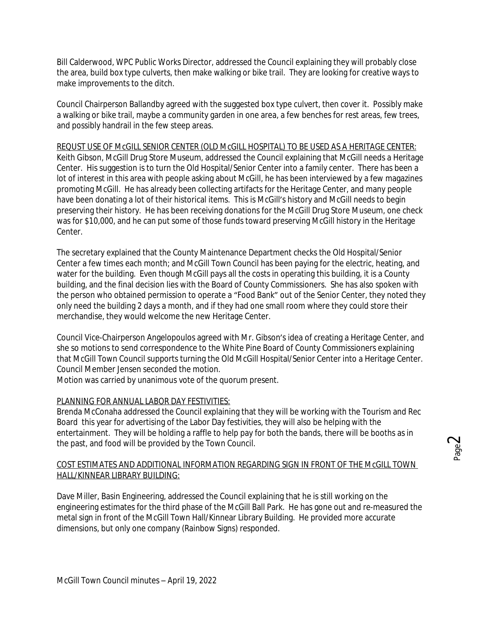Bill Calderwood, WPC Public Works Director, addressed the Council explaining they will probably close the area, build box type culverts, then make walking or bike trail. They are looking for creative ways to make improvements to the ditch.

Council Chairperson Ballandby agreed with the suggested box type culvert, then cover it. Possibly make a walking or bike trail, maybe a community garden in one area, a few benches for rest areas, few trees, and possibly handrail in the few steep areas.

## REQUST USE OF McGILL SENIOR CENTER (OLD McGILL HOSPITAL) TO BE USED AS A HERITAGE CENTER:

Keith Gibson, McGill Drug Store Museum, addressed the Council explaining that McGill needs a Heritage Center. His suggestion is to turn the Old Hospital/Senior Center into a family center. There has been a lot of interest in this area with people asking about McGill, he has been interviewed by a few magazines promoting McGill. He has already been collecting artifacts for the Heritage Center, and many people have been donating a lot of their historical items. This is McGill's history and McGill needs to begin preserving their history. He has been receiving donations for the McGill Drug Store Museum, one check was for \$10,000, and he can put some of those funds toward preserving McGill history in the Heritage Center.

The secretary explained that the County Maintenance Department checks the Old Hospital/Senior Center a few times each month; and McGill Town Council has been paying for the electric, heating, and water for the building. Even though McGill pays all the costs in operating this building, it is a County building, and the final decision lies with the Board of County Commissioners. She has also spoken with the person who obtained permission to operate a "Food Bank" out of the Senior Center, they noted they only need the building 2 days a month, and if they had one small room where they could store their merchandise, they would welcome the new Heritage Center.

Council Vice-Chairperson Angelopoulos agreed with Mr. Gibson's idea of creating a Heritage Center, and she so motions to send correspondence to the White Pine Board of County Commissioners explaining that McGill Town Council supports turning the Old McGill Hospital/Senior Center into a Heritage Center. Council Member Jensen seconded the motion.

Motion was carried by unanimous vote of the quorum present.

## PLANNING FOR ANNUAL LABOR DAY FESTIVITIES:

Brenda McConaha addressed the Council explaining that they will be working with the Tourism and Rec Board this year for advertising of the Labor Day festivities, they will also be helping with the entertainment. They will be holding a raffle to help pay for both the bands, there will be booths as in the past, and food will be provided by the Town Council.

# COST ESTIMATES AND ADDITIONAL INFORMATION REGARDING SIGN IN FRONT OF THE MCGILL TOWN HALL/KINNEAR LIBRARY BUILDING:

Dave Miller, Basin Engineering, addressed the Council explaining that he is still working on the engineering estimates for the third phase of the McGill Ball Park. He has gone out and re-measured the metal sign in front of the McGill Town Hall/Kinnear Library Building. He provided more accurate dimensions, but only one company (Rainbow Signs) responded.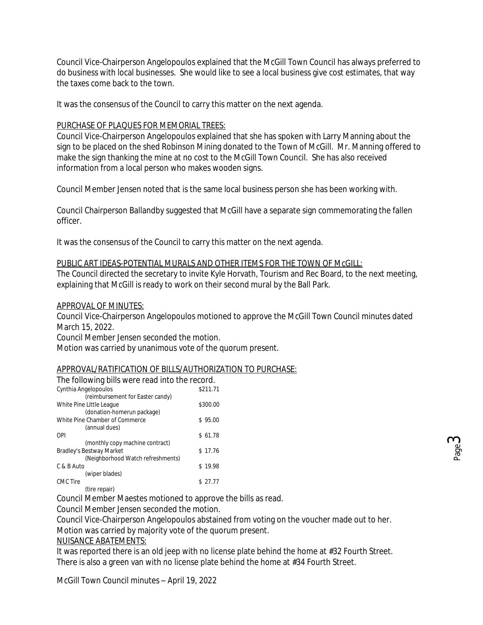Council Vice-Chairperson Angelopoulos explained that the McGill Town Council has always preferred to do business with local businesses. She would like to see a local business give cost estimates, that way the taxes come back to the town.

It was the consensus of the Council to carry this matter on the next agenda.

# PURCHASE OF PLAQUES FOR MEMORIAL TREES:

Council Vice-Chairperson Angelopoulos explained that she has spoken with Larry Manning about the sign to be placed on the shed Robinson Mining donated to the Town of McGill. Mr. Manning offered to make the sign thanking the mine at no cost to the McGill Town Council. She has also received information from a local person who makes wooden signs.

Council Member Jensen noted that is the same local business person she has been working with.

Council Chairperson Ballandby suggested that McGill have a separate sign commemorating the fallen officer.

It was the consensus of the Council to carry this matter on the next agenda.

# PUBLIC ART IDEAS-POTENTIAL MURALS AND OTHER ITEMS FOR THE TOWN OF McGILL:

The Council directed the secretary to invite Kyle Horvath, Tourism and Rec Board, to the next meeting, explaining that McGill is ready to work on their second mural by the Ball Park.

## APPROVAL OF MINUTES:

Council Vice-Chairperson Angelopoulos motioned to approve the McGill Town Council minutes dated March 15, 2022.

Council Member Jensen seconded the motion.

Motion was carried by unanimous vote of the quorum present.

## APPROVAL/RATIFICATION OF BILLS/AUTHORIZATION TO PURCHASE:

| The following bills were read into the record. |          |
|------------------------------------------------|----------|
| Cynthia Angelopoulos                           | \$211.71 |
| (reimbursement for Easter candy)               |          |
| White Pine Little League                       | \$300.00 |
| (donation-homerun package)                     |          |
| White Pine Chamber of Commerce                 | \$95.00  |
| (annual dues)                                  |          |
| OPI                                            | \$61.78  |
| (monthly copy machine contract)                |          |
| Bradley's Bestway Market                       | \$17.76  |
| (Neighborhood Watch refreshments)              |          |
| C & B Auto                                     | \$19.98  |
| (wiper blades)                                 |          |
| CMC Tire                                       | \$27.77  |
| (tire repair)                                  |          |

Council Member Maestes motioned to approve the bills as read.

Council Member Jensen seconded the motion.

Council Vice-Chairperson Angelopoulos abstained from voting on the voucher made out to her. Motion was carried by majority vote of the quorum present.

## NUISANCE ABATEMENTS:

It was reported there is an old jeep with no license plate behind the home at #32 Fourth Street. There is also a green van with no license plate behind the home at #34 Fourth Street.

McGill Town Council minutes – April 19, 2022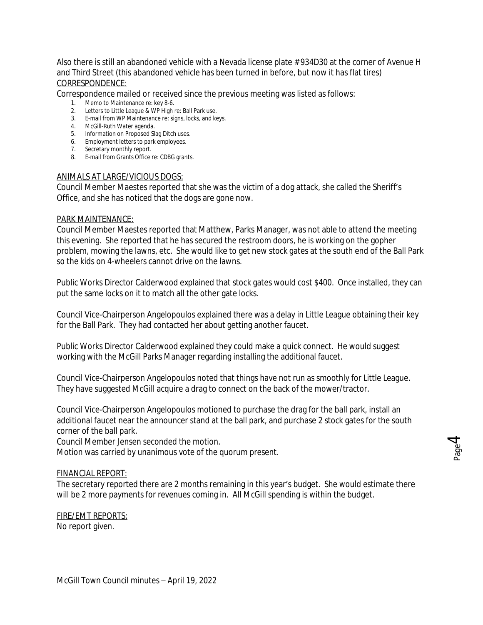Also there is still an abandoned vehicle with a Nevada license plate # 934D30 at the corner of Avenue H and Third Street (this abandoned vehicle has been turned in before, but now it has flat tires) CORRESPONDENCE:

Correspondence mailed or received since the previous meeting was listed as follows:

- 1. Memo to Maintenance re: key 8-6.
- 2. Letters to Little League & WP High re: Ball Park use.
- 3. E-mail from WP Maintenance re: signs, locks, and keys.
- 4. McGill-Ruth Water agenda.
- 5. Information on Proposed Slag Ditch uses.
- 6. Employment letters to park employees.
- 7. Secretary monthly report.
- 8. E-mail from Grants Office re: CDBG grants.

#### ANIMALS AT LARGE/VICIOUS DOGS:

Council Member Maestes reported that she was the victim of a dog attack, she called the Sheriff's Office, and she has noticed that the dogs are gone now.

### PARK MAINTENANCE:

Council Member Maestes reported that Matthew, Parks Manager, was not able to attend the meeting this evening. She reported that he has secured the restroom doors, he is working on the gopher problem, mowing the lawns, etc. She would like to get new stock gates at the south end of the Ball Park so the kids on 4-wheelers cannot drive on the lawns.

Public Works Director Calderwood explained that stock gates would cost \$400. Once installed, they can put the same locks on it to match all the other gate locks.

Council Vice-Chairperson Angelopoulos explained there was a delay in Little League obtaining their key for the Ball Park. They had contacted her about getting another faucet.

Public Works Director Calderwood explained they could make a quick connect. He would suggest working with the McGill Parks Manager regarding installing the additional faucet.

Council Vice-Chairperson Angelopoulos noted that things have not run as smoothly for Little League. They have suggested McGill acquire a drag to connect on the back of the mower/tractor.

Council Vice-Chairperson Angelopoulos motioned to purchase the drag for the ball park, install an additional faucet near the announcer stand at the ball park, and purchase 2 stock gates for the south corner of the ball park.

Council Member Jensen seconded the motion.

Motion was carried by unanimous vote of the quorum present.

## FINANCIAL REPORT:

The secretary reported there are 2 months remaining in this year's budget. She would estimate there will be 2 more payments for revenues coming in. All McGill spending is within the budget.

FIRE/EMT REPORTS: No report given.

 $\overline{4}$